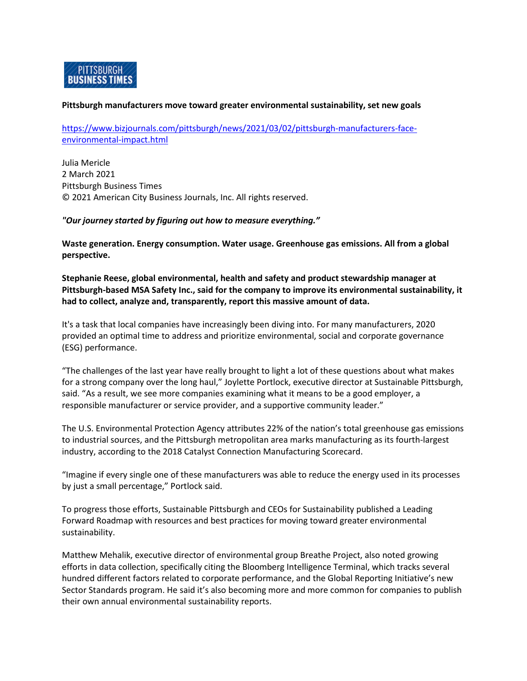

### **Pittsburgh manufacturers move toward greater environmental sustainability, set new goals**

[https://www.bizjournals.com/pittsburgh/news/2021/03/02/pittsburgh-manufacturers-face](https://www.bizjournals.com/pittsburgh/news/2021/03/02/pittsburgh-manufacturers-face-environmental-impact.html)[environmental-impact.html](https://www.bizjournals.com/pittsburgh/news/2021/03/02/pittsburgh-manufacturers-face-environmental-impact.html)

Julia Mericle 2 March 2021 Pittsburgh Business Times © 2021 American City Business Journals, Inc. All rights reserved.

### *"Our journey started by figuring out how to measure everything."*

**Waste generation. Energy consumption. Water usage. Greenhouse gas emissions. All from a global perspective.**

**Stephanie Reese, global environmental, health and safety and product stewardship manager at Pittsburgh-based MSA Safety Inc., said for the company to improve its environmental sustainability, it had to collect, analyze and, transparently, report this massive amount of data.**

It's a task that local companies have increasingly been diving into. For many manufacturers, 2020 provided an optimal time to address and prioritize environmental, social and corporate governance (ESG) performance.

"The challenges of the last year have really brought to light a lot of these questions about what makes for a strong company over the long haul," Joylette Portlock, executive director at Sustainable Pittsburgh, said. "As a result, we see more companies examining what it means to be a good employer, a responsible manufacturer or service provider, and a supportive community leader."

The U.S. Environmental Protection Agency attributes 22% of the nation's total greenhouse gas emissions to industrial sources, and the Pittsburgh metropolitan area marks manufacturing as its fourth-largest industry, according to the 2018 Catalyst Connection Manufacturing Scorecard.

"Imagine if every single one of these manufacturers was able to reduce the energy used in its processes by just a small percentage," Portlock said.

To progress those efforts, Sustainable Pittsburgh and CEOs for Sustainability published a Leading Forward Roadmap with resources and best practices for moving toward greater environmental sustainability.

Matthew Mehalik, executive director of environmental group Breathe Project, also noted growing efforts in data collection, specifically citing the Bloomberg Intelligence Terminal, which tracks several hundred different factors related to corporate performance, and the Global Reporting Initiative's new Sector Standards program. He said it's also becoming more and more common for companies to publish their own annual environmental sustainability reports.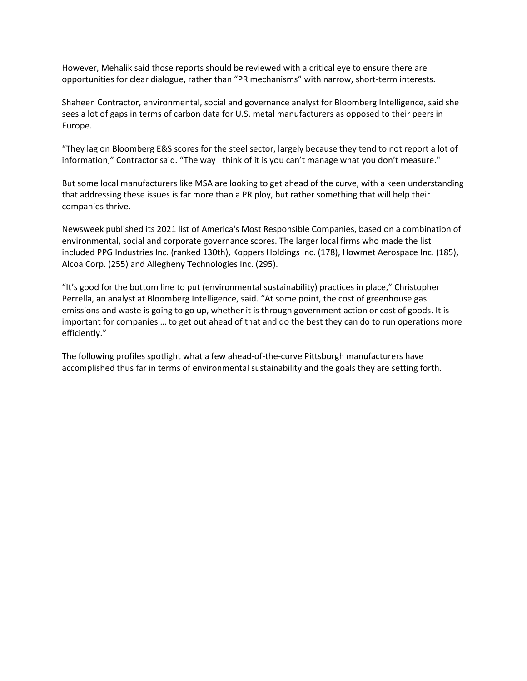However, Mehalik said those reports should be reviewed with a critical eye to ensure there are opportunities for clear dialogue, rather than "PR mechanisms" with narrow, short-term interests.

Shaheen Contractor, environmental, social and governance analyst for Bloomberg Intelligence, said she sees a lot of gaps in terms of carbon data for U.S. metal manufacturers as opposed to their peers in Europe.

"They lag on Bloomberg E&S scores for the steel sector, largely because they tend to not report a lot of information," Contractor said. "The way I think of it is you can't manage what you don't measure."

But some local manufacturers like MSA are looking to get ahead of the curve, with a keen understanding that addressing these issues is far more than a PR ploy, but rather something that will help their companies thrive.

Newsweek published its 2021 list of America's Most Responsible Companies, based on a combination of environmental, social and corporate governance scores. The larger local firms who made the list included PPG Industries Inc. (ranked 130th), Koppers Holdings Inc. (178), Howmet Aerospace Inc. (185), Alcoa Corp. (255) and Allegheny Technologies Inc. (295).

"It's good for the bottom line to put (environmental sustainability) practices in place," Christopher Perrella, an analyst at Bloomberg Intelligence, said. "At some point, the cost of greenhouse gas emissions and waste is going to go up, whether it is through government action or cost of goods. It is important for companies … to get out ahead of that and do the best they can do to run operations more efficiently."

The following profiles spotlight what a few ahead-of-the-curve Pittsburgh manufacturers have accomplished thus far in terms of environmental sustainability and the goals they are setting forth.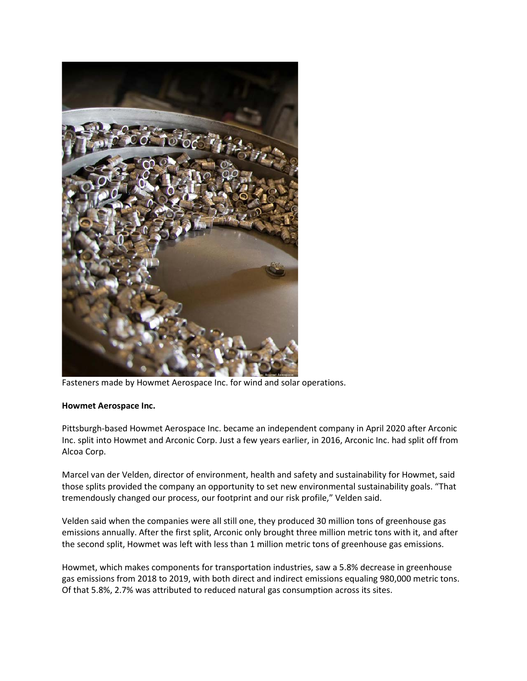

Fasteners made by Howmet Aerospace Inc. for wind and solar operations.

# **Howmet Aerospace Inc.**

Pittsburgh-based Howmet Aerospace Inc. became an independent company in April 2020 after Arconic Inc. split into Howmet and Arconic Corp. Just a few years earlier, in 2016, Arconic Inc. had split off from Alcoa Corp.

Marcel van der Velden, director of environment, health and safety and sustainability for Howmet, said those splits provided the company an opportunity to set new environmental sustainability goals. "That tremendously changed our process, our footprint and our risk profile," Velden said.

Velden said when the companies were all still one, they produced 30 million tons of greenhouse gas emissions annually. After the first split, Arconic only brought three million metric tons with it, and after the second split, Howmet was left with less than 1 million metric tons of greenhouse gas emissions.

Howmet, which makes components for transportation industries, saw a 5.8% decrease in greenhouse gas emissions from 2018 to 2019, with both direct and indirect emissions equaling 980,000 metric tons. Of that 5.8%, 2.7% was attributed to reduced natural gas consumption across its sites.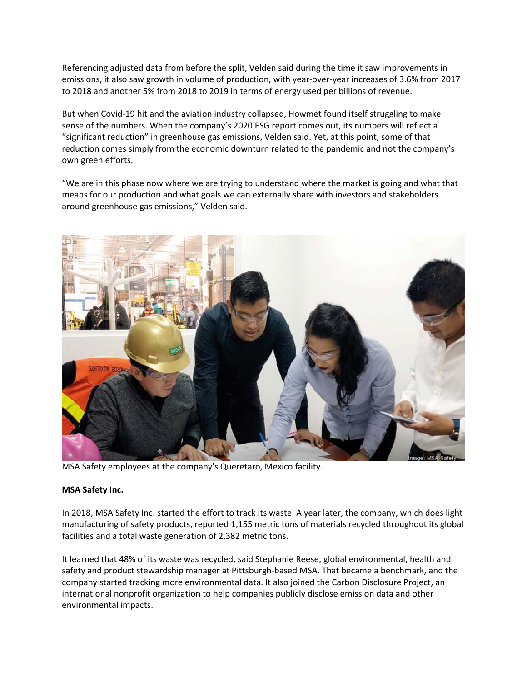Referencing adjusted data from before the split, Velden said during the time it saw improvements in emissions, it also saw growth in volume of production, with year-over-year increases of 3.6% from 2017 to 2018 and another 5% from 2018 to 2019 in terms of energy used per billions of revenue.

But when Covid-19 hit and the aviation industry collapsed, Howmet found itself struggling to make sense of the numbers. When the company's 2020 ESG report comes out, its numbers will reflect a "significant reduction" in greenhouse gas emissions, Velden said. Yet, at this point, some of that reduction comes simply from the economic downturn related to the pandemic and not the company's own green efforts.

"We are in this phase now where we are trying to understand where the market is going and what that means for our production and what goals we can externally share with investors and stakeholders around greenhouse gas emissions," Velden said.



MSA Safety employees at the company's Queretaro, Mexico facility.

# **MSA Safety Inc.**

In 2018, MSA Safety Inc. started the effort to track its waste. A year later, the company, which does light manufacturing of safety products, reported 1,155 metric tons of materials recycled throughout its global facilities and a total waste generation of 2,382 metric tons.

It learned that 48% of its waste was recycled, said Stephanie Reese, global environmental, health and safety and product stewardship manager at Pittsburgh-based MSA. That became a benchmark, and the company started tracking more environmental data. It also joined the Carbon Disclosure Project, an international nonprofit organization to help companies publicly disclose emission data and other environmental impacts.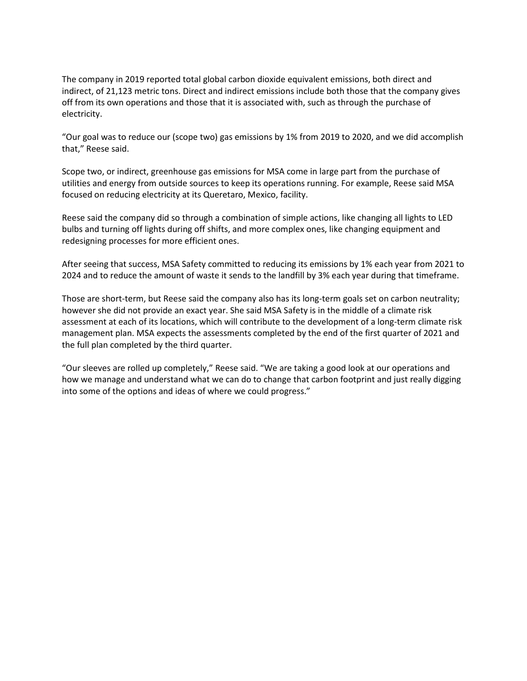The company in 2019 reported total global carbon dioxide equivalent emissions, both direct and indirect, of 21,123 metric tons. Direct and indirect emissions include both those that the company gives off from its own operations and those that it is associated with, such as through the purchase of electricity.

"Our goal was to reduce our (scope two) gas emissions by 1% from 2019 to 2020, and we did accomplish that," Reese said.

Scope two, or indirect, greenhouse gas emissions for MSA come in large part from the purchase of utilities and energy from outside sources to keep its operations running. For example, Reese said MSA focused on reducing electricity at its Queretaro, Mexico, facility.

Reese said the company did so through a combination of simple actions, like changing all lights to LED bulbs and turning off lights during off shifts, and more complex ones, like changing equipment and redesigning processes for more efficient ones.

After seeing that success, MSA Safety committed to reducing its emissions by 1% each year from 2021 to 2024 and to reduce the amount of waste it sends to the landfill by 3% each year during that timeframe.

Those are short-term, but Reese said the company also has its long-term goals set on carbon neutrality; however she did not provide an exact year. She said MSA Safety is in the middle of a climate risk assessment at each of its locations, which will contribute to the development of a long-term climate risk management plan. MSA expects the assessments completed by the end of the first quarter of 2021 and the full plan completed by the third quarter.

"Our sleeves are rolled up completely," Reese said. "We are taking a good look at our operations and how we manage and understand what we can do to change that carbon footprint and just really digging into some of the options and ideas of where we could progress."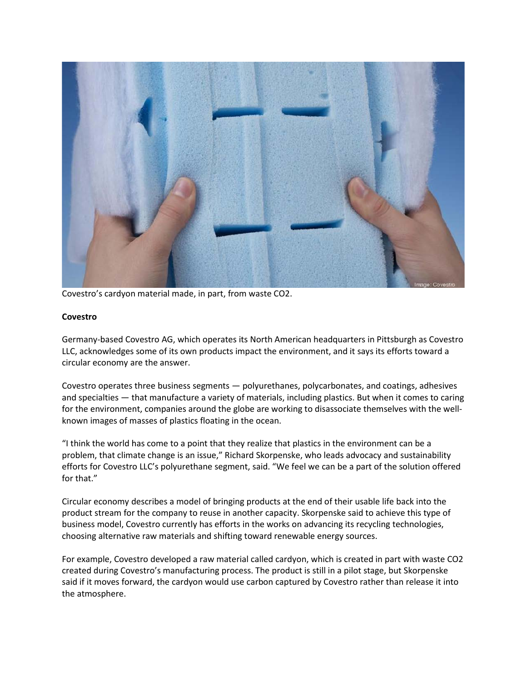

Covestro's cardyon material made, in part, from waste CO2.

### **Covestro**

Germany-based Covestro AG, which operates its North American headquarters in Pittsburgh as Covestro LLC, acknowledges some of its own products impact the environment, and it says its efforts toward a circular economy are the answer.

Covestro operates three business segments — polyurethanes, polycarbonates, and coatings, adhesives and specialties — that manufacture a variety of materials, including plastics. But when it comes to caring for the environment, companies around the globe are working to disassociate themselves with the wellknown images of masses of plastics floating in the ocean.

"I think the world has come to a point that they realize that plastics in the environment can be a problem, that climate change is an issue," Richard Skorpenske, who leads advocacy and sustainability efforts for Covestro LLC's polyurethane segment, said. "We feel we can be a part of the solution offered for that."

Circular economy describes a model of bringing products at the end of their usable life back into the product stream for the company to reuse in another capacity. Skorpenske said to achieve this type of business model, Covestro currently has efforts in the works on advancing its recycling technologies, choosing alternative raw materials and shifting toward renewable energy sources.

For example, Covestro developed a raw material called cardyon, which is created in part with waste CO2 created during Covestro's manufacturing process. The product is still in a pilot stage, but Skorpenske said if it moves forward, the cardyon would use carbon captured by Covestro rather than release it into the atmosphere.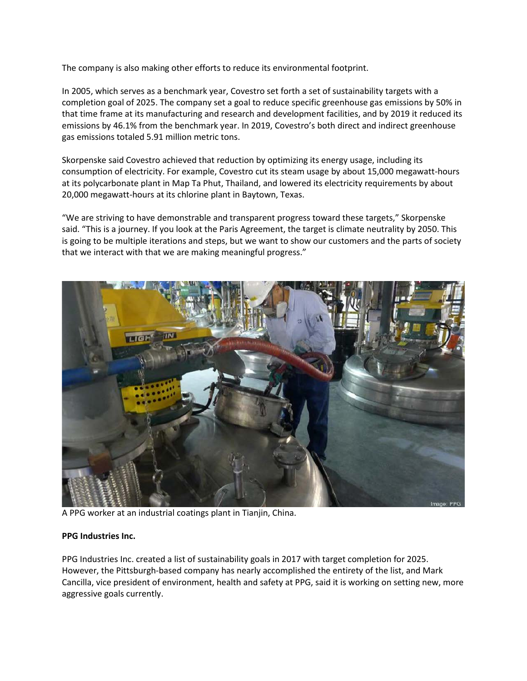The company is also making other efforts to reduce its environmental footprint.

In 2005, which serves as a benchmark year, Covestro set forth a set of sustainability targets with a completion goal of 2025. The company set a goal to reduce specific greenhouse gas emissions by 50% in that time frame at its manufacturing and research and development facilities, and by 2019 it reduced its emissions by 46.1% from the benchmark year. In 2019, Covestro's both direct and indirect greenhouse gas emissions totaled 5.91 million metric tons.

Skorpenske said Covestro achieved that reduction by optimizing its energy usage, including its consumption of electricity. For example, Covestro cut its steam usage by about 15,000 megawatt-hours at its polycarbonate plant in Map Ta Phut, Thailand, and lowered its electricity requirements by about 20,000 megawatt-hours at its chlorine plant in Baytown, Texas.

"We are striving to have demonstrable and transparent progress toward these targets," Skorpenske said. "This is a journey. If you look at the Paris Agreement, the target is climate neutrality by 2050. This is going to be multiple iterations and steps, but we want to show our customers and the parts of society that we interact with that we are making meaningful progress."



A PPG worker at an industrial coatings plant in Tianjin, China.

# **PPG Industries Inc.**

PPG Industries Inc. created a list of sustainability goals in 2017 with target completion for 2025. However, the Pittsburgh-based company has nearly accomplished the entirety of the list, and Mark Cancilla, vice president of environment, health and safety at PPG, said it is working on setting new, more aggressive goals currently.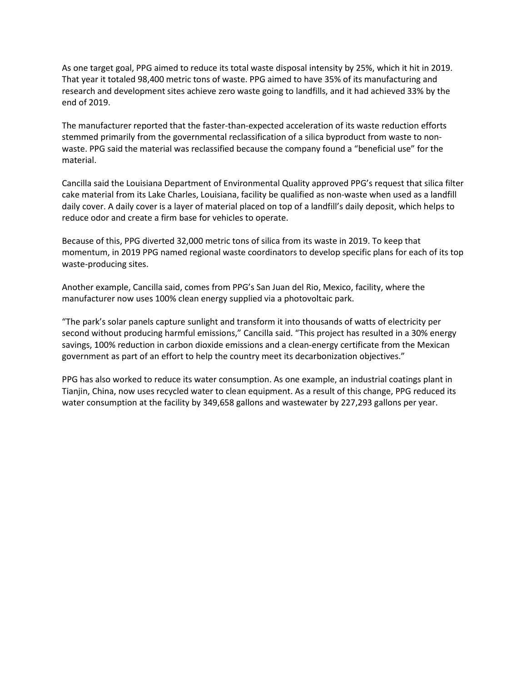As one target goal, PPG aimed to reduce its total waste disposal intensity by 25%, which it hit in 2019. That year it totaled 98,400 metric tons of waste. PPG aimed to have 35% of its manufacturing and research and development sites achieve zero waste going to landfills, and it had achieved 33% by the end of 2019.

The manufacturer reported that the faster-than-expected acceleration of its waste reduction efforts stemmed primarily from the governmental reclassification of a silica byproduct from waste to nonwaste. PPG said the material was reclassified because the company found a "beneficial use" for the material.

Cancilla said the Louisiana Department of Environmental Quality approved PPG's request that silica filter cake material from its Lake Charles, Louisiana, facility be qualified as non-waste when used as a landfill daily cover. A daily cover is a layer of material placed on top of a landfill's daily deposit, which helps to reduce odor and create a firm base for vehicles to operate.

Because of this, PPG diverted 32,000 metric tons of silica from its waste in 2019. To keep that momentum, in 2019 PPG named regional waste coordinators to develop specific plans for each of its top waste-producing sites.

Another example, Cancilla said, comes from PPG's San Juan del Rio, Mexico, facility, where the manufacturer now uses 100% clean energy supplied via a photovoltaic park.

"The park's solar panels capture sunlight and transform it into thousands of watts of electricity per second without producing harmful emissions," Cancilla said. "This project has resulted in a 30% energy savings, 100% reduction in carbon dioxide emissions and a clean-energy certificate from the Mexican government as part of an effort to help the country meet its decarbonization objectives."

PPG has also worked to reduce its water consumption. As one example, an industrial coatings plant in Tianjin, China, now uses recycled water to clean equipment. As a result of this change, PPG reduced its water consumption at the facility by 349,658 gallons and wastewater by 227,293 gallons per year.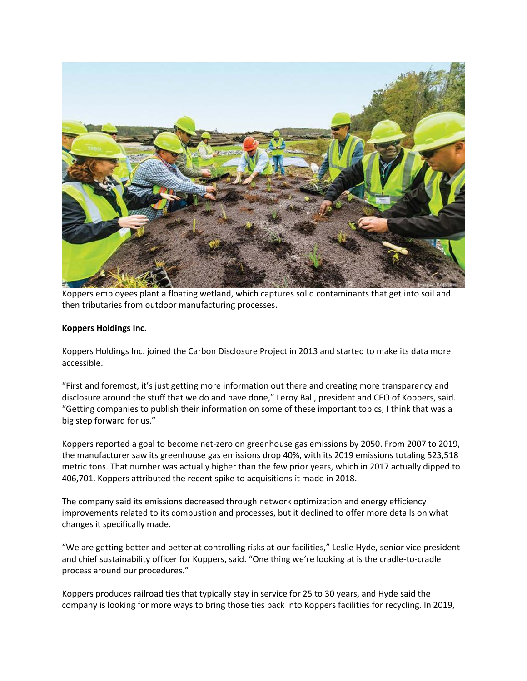

Koppers employees plant a floating wetland, which captures solid contaminants that get into soil and then tributaries from outdoor manufacturing processes.

# **Koppers Holdings Inc.**

Koppers Holdings Inc. joined the Carbon Disclosure Project in 2013 and started to make its data more accessible.

"First and foremost, it's just getting more information out there and creating more transparency and disclosure around the stuff that we do and have done," Leroy Ball, president and CEO of Koppers, said. "Getting companies to publish their information on some of these important topics, I think that was a big step forward for us."

Koppers reported a goal to become net-zero on greenhouse gas emissions by 2050. From 2007 to 2019, the manufacturer saw its greenhouse gas emissions drop 40%, with its 2019 emissions totaling 523,518 metric tons. That number was actually higher than the few prior years, which in 2017 actually dipped to 406,701. Koppers attributed the recent spike to acquisitions it made in 2018.

The company said its emissions decreased through network optimization and energy efficiency improvements related to its combustion and processes, but it declined to offer more details on what changes it specifically made.

"We are getting better and better at controlling risks at our facilities," Leslie Hyde, senior vice president and chief sustainability officer for Koppers, said. "One thing we're looking at is the cradle-to-cradle process around our procedures."

Koppers produces railroad ties that typically stay in service for 25 to 30 years, and Hyde said the company is looking for more ways to bring those ties back into Koppers facilities for recycling. In 2019,